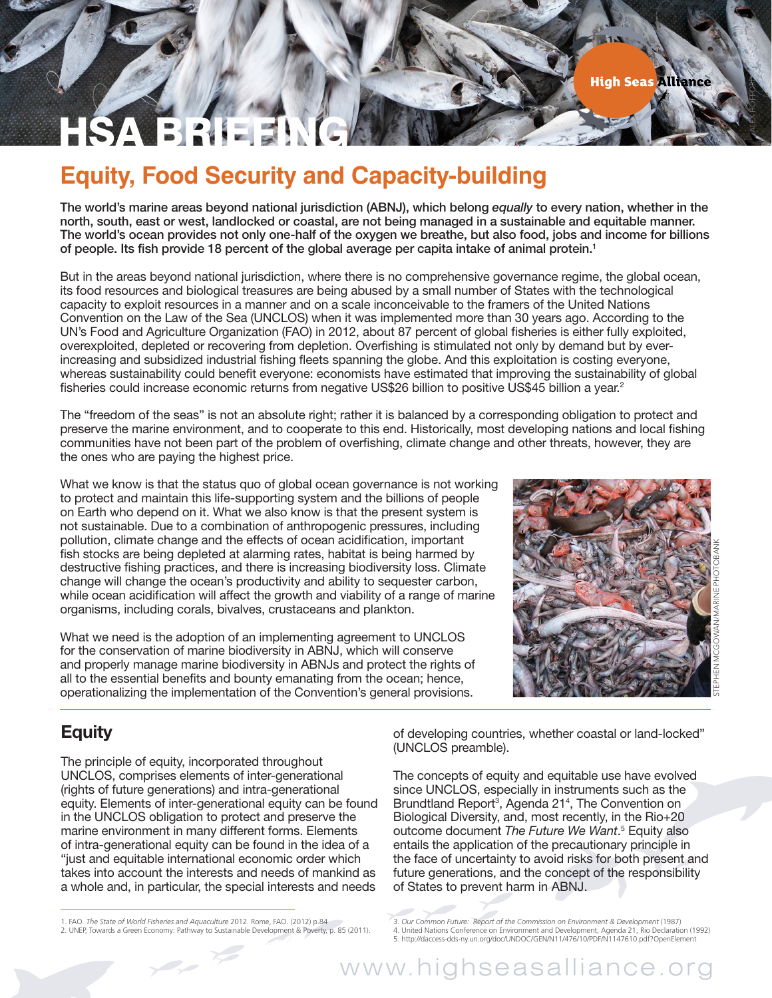ALEX HOFFORD/GREENPEACE

# HSA BRIEFING

## **Equity, Food Security and Capacity-building**

The world's marine areas beyond national jurisdiction (ABNJ), which belong *equally* to every nation, whether in the north, south, east or west, landlocked or coastal, are not being managed in a sustainable and equitable manner. The world's ocean provides not only one-half of the oxygen we breathe, but also food, jobs and income for billions of people. Its fish provide 18 percent of the global average per capita intake of animal protein.1

But in the areas beyond national jurisdiction, where there is no comprehensive governance regime, the global ocean, its food resources and biological treasures are being abused by a small number of States with the technological capacity to exploit resources in a manner and on a scale inconceivable to the framers of the United Nations Convention on the Law of the Sea (UNCLOS) when it was implemented more than 30 years ago. According to the UN's Food and Agriculture Organization (FAO) in 2012, about 87 percent of global fisheries is either fully exploited, overexploited, depleted or recovering from depletion. Overfishing is stimulated not only by demand but by everincreasing and subsidized industrial fishing fleets spanning the globe. And this exploitation is costing everyone, whereas sustainability could benefit everyone: economists have estimated that improving the sustainability of global fisheries could increase economic returns from negative US\$26 billion to positive US\$45 billion a year.<sup>2</sup>

The "freedom of the seas" is not an absolute right; rather it is balanced by a corresponding obligation to protect and preserve the marine environment, and to cooperate to this end. Historically, most developing nations and local fishing communities have not been part of the problem of overfishing, climate change and other threats, however, they are the ones who are paying the highest price.

What we know is that the status quo of global ocean governance is not working to protect and maintain this life-supporting system and the billions of people on Earth who depend on it. What we also know is that the present system is not sustainable. Due to a combination of anthropogenic pressures, including pollution, climate change and the effects of ocean acidification, important fish stocks are being depleted at alarming rates, habitat is being harmed by destructive fishing practices, and there is increasing biodiversity loss. Climate change will change the ocean's productivity and ability to sequester carbon, while ocean acidification will affect the growth and viability of a range of marine organisms, including corals, bivalves, crustaceans and plankton.

What we need is the adoption of an implementing agreement to UNCLOS for the conservation of marine biodiversity in ABNJ, which will conserve and properly manage marine biodiversity in ABNJs and protect the rights of all to the essential benefits and bounty emanating from the ocean; hence, operationalizing the implementation of the Convention's general provisions.



### **Equity**

The principle of equity, incorporated throughout UNCLOS, comprises elements of inter-generational (rights of future generations) and intra-generational equity. Elements of inter-generational equity can be found in the UNCLOS obligation to protect and preserve the marine environment in many different forms. Elements of intra-generational equity can be found in the idea of a "just and equitable international economic order which takes into account the interests and needs of mankind as a whole and, in particular, the special interests and needs

of developing countries, whether coastal or land-locked" (UNCLOS preamble).

The concepts of equity and equitable use have evolved since UNCLOS, especially in instruments such as the Brundtland Report<sup>3</sup>, Agenda 21<sup>4</sup>, The Convention on Biological Diversity, and, most recently, in the Rio+20 outcome document *The Future We Want*. 5 Equity also entails the application of the precautionary principle in the face of uncertainty to avoid risks for both present and future generations, and the concept of the responsibility of States to prevent harm in ABNJ.

<sup>1.</sup> FAO. *The State of World Fisheries and Aquaculture* 2012. Rome, FAO. (2012) p.84

<sup>2.</sup> UNEP, Towards a Green Economy: Pathway to Sustainable Development & Poverty, p. 85 (2011).

<sup>3.</sup> *Our Common Future: Report of the Commission on Environment & Development* (1987) 4. United Nations Conference on Environment and Development, Agenda 21, Rio Declaration (1992) 5. http://daccess-dds-ny.un.org/doc/UNDOC/GEN/N11/476/10/PDF/N1147610.pdf?OpenElement